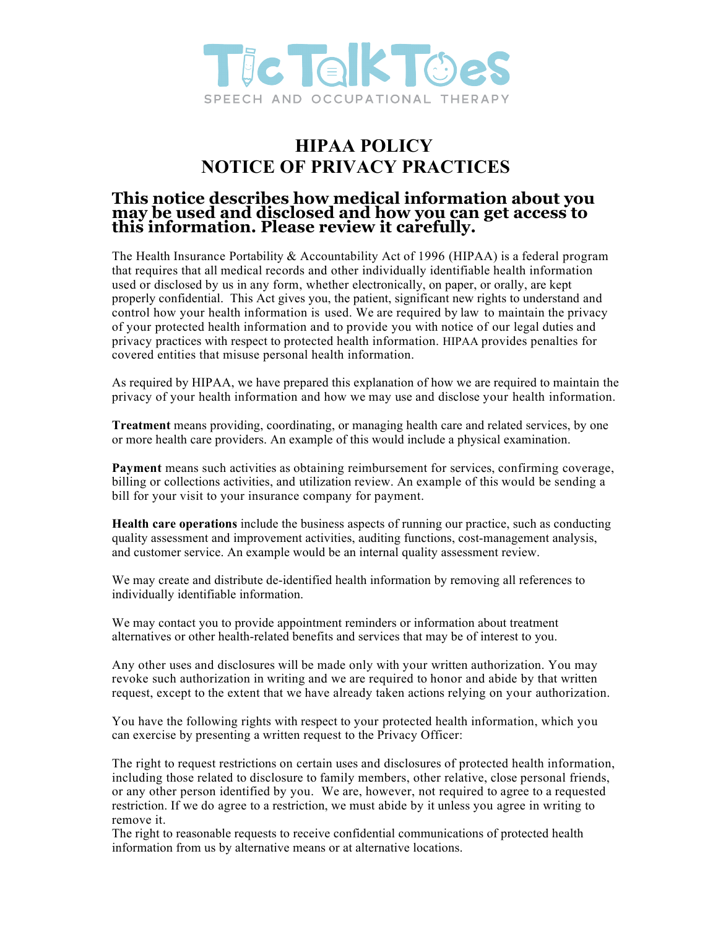

## **HIPAA POLICY NOTICE OF PRIVACY PRACTICES**

## **This notice describes how medical information about you may be used and disclosed and how you can get access to this information. Please review it carefully.**

The Health Insurance Portability & Accountability Act of 1996 (HIPAA) is a federal program that requires that all medical records and other individually identifiable health information used or disclosed by us in any form, whether electronically, on paper, or orally, are kept properly confidential. This Act gives you, the patient, significant new rights to understand and control how your health information is used. We are required by law to maintain the privacy of your protected health information and to provide you with notice of our legal duties and privacy practices with respect to protected health information. HIPAA provides penalties for covered entities that misuse personal health information.

As required by HIPAA, we have prepared this explanation of how we are required to maintain the privacy of your health information and how we may use and disclose your health information.

**Treatment** means providing, coordinating, or managing health care and related services, by one or more health care providers. An example of this would include a physical examination.

**Payment** means such activities as obtaining reimbursement for services, confirming coverage, billing or collections activities, and utilization review. An example of this would be sending a bill for your visit to your insurance company for payment.

**Health care operations** include the business aspects of running our practice, such as conducting quality assessment and improvement activities, auditing functions, cost-management analysis, and customer service. An example would be an internal quality assessment review.

We may create and distribute de-identified health information by removing all references to individually identifiable information.

We may contact you to provide appointment reminders or information about treatment alternatives or other health-related benefits and services that may be of interest to you.

Any other uses and disclosures will be made only with your written authorization. You may revoke such authorization in writing and we are required to honor and abide by that written request, except to the extent that we have already taken actions relying on your authorization.

You have the following rights with respect to your protected health information, which you can exercise by presenting a written request to the Privacy Officer:

The right to request restrictions on certain uses and disclosures of protected health information, including those related to disclosure to family members, other relative, close personal friends, or any other person identified by you. We are, however, not required to agree to a requested restriction. If we do agree to a restriction, we must abide by it unless you agree in writing to remove it.

The right to reasonable requests to receive confidential communications of protected health information from us by alternative means or at alternative locations.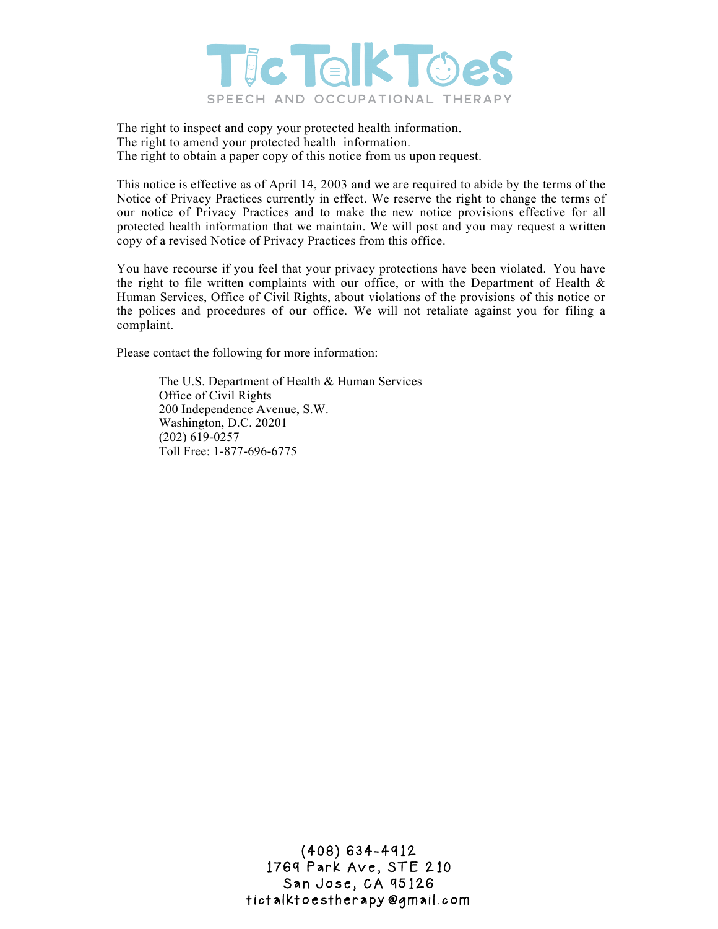

The right to inspect and copy your protected health information. The right to amend your protected health information. The right to obtain a paper copy of this notice from us upon request.

This notice is effective as of April 14, 2003 and we are required to abide by the terms of the Notice of Privacy Practices currently in effect. We reserve the right to change the terms of our notice of Privacy Practices and to make the new notice provisions effective for all protected health information that we maintain. We will post and you may request a written copy of a revised Notice of Privacy Practices from this office.

You have recourse if you feel that your privacy protections have been violated. You have the right to file written complaints with our office, or with the Department of Health  $\&$ Human Services, Office of Civil Rights, about violations of the provisions of this notice or the polices and procedures of our office. We will not retaliate against you for filing a complaint.

Please contact the following for more information:

The U.S. Department of Health & Human Services Office of Civil Rights 200 Independence Avenue, S.W. Washington, D.C. 20201 (202) 619-0257 Toll Free: 1-877-696-6775

> (408) 634-4912 1769 Park Ave, STE 210 San Jose, CA 95126 tictalktoestherapy@gmail.com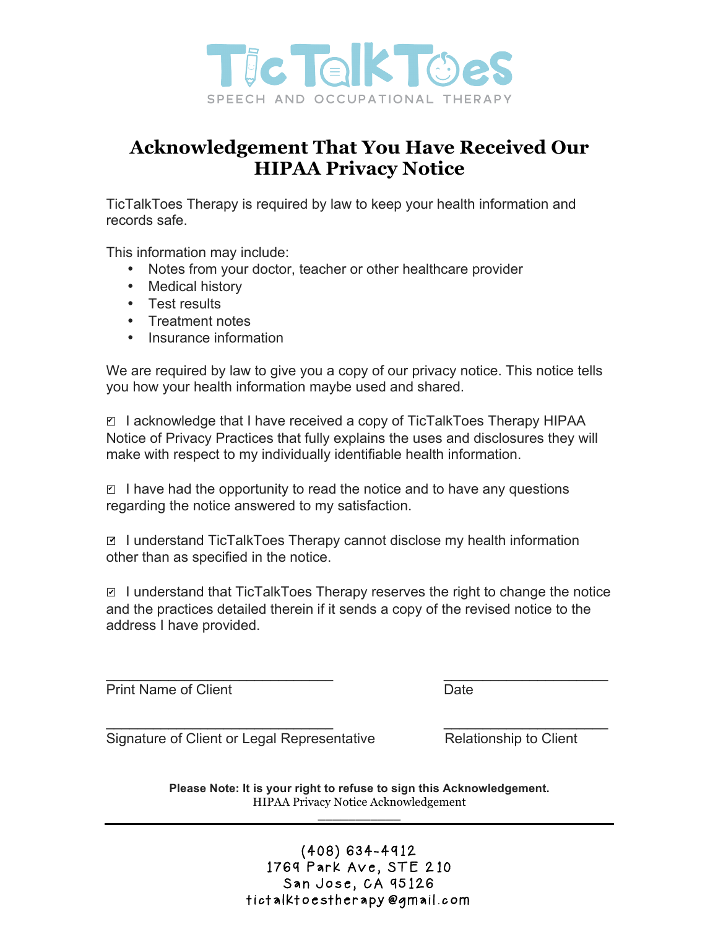

## **Acknowledgement That You Have Received Our HIPAA Privacy Notice**

TicTalkToes Therapy is required by law to keep your health information and records safe.

This information may include:

- Notes from your doctor, teacher or other healthcare provider
- Medical history
- Test results
- Treatment notes
- Insurance information

We are required by law to give you a copy of our privacy notice. This notice tells you how your health information maybe used and shared.

**Ø I acknowledge that I have received a copy of TicTalkToes Therapy HIPAA** Notice of Privacy Practices that fully explains the uses and disclosures they will make with respect to my individually identifiable health information.

 $\Box$  I have had the opportunity to read the notice and to have any questions regarding the notice answered to my satisfaction.

**■ I understand TicTalkToes Therapy cannot disclose my health information** other than as specified in the notice.

 $\blacksquare$  I understand that TicTalkToes Therapy reserves the right to change the notice and the practices detailed therein if it sends a copy of the revised notice to the address I have provided.

\_\_\_\_\_\_\_\_\_\_\_\_\_\_\_\_\_\_\_\_\_\_\_\_\_\_\_\_\_ \_\_\_\_\_\_\_\_\_\_\_\_\_\_\_\_\_\_\_\_\_

Print Name of Client **Date** 

Signature of Client or Legal Representative Relationship to Client

\_\_\_\_\_\_\_\_\_\_\_\_\_\_\_\_\_\_\_\_\_\_\_\_\_\_\_\_\_ \_\_\_\_\_\_\_\_\_\_\_\_\_\_\_\_\_\_\_\_\_

**Please Note: It is your right to refuse to sign this Acknowledgement.** HIPAA Privacy Notice Acknowledgement \_\_\_\_\_\_\_\_\_\_\_

> (408) 634-4912 1769 Park Ave, STE 210 San Jose, CA 95126 tictalktoestherapy@gmail.com